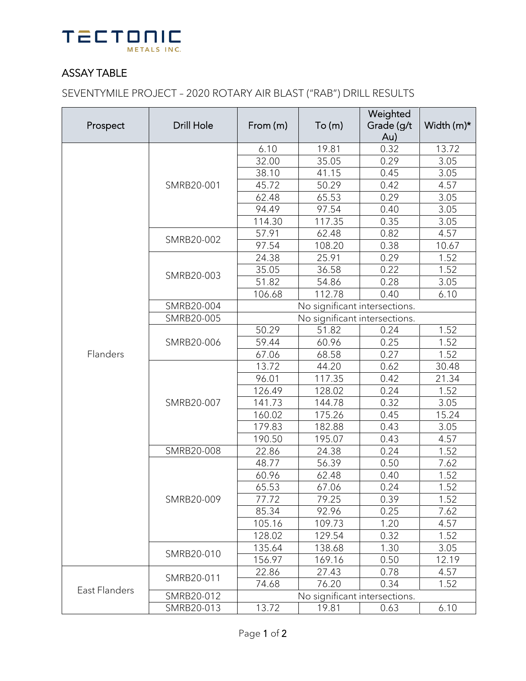

## ASSAY TABLE

SEVENTYMILE PROJECT – 2020 ROTARY AIR BLAST ("RAB") DRILL RESULTS

| Prospect      | <b>Drill Hole</b> | From (m)                      | To(m)  | Weighted   |            |  |
|---------------|-------------------|-------------------------------|--------|------------|------------|--|
|               |                   |                               |        | Grade (g/t | Width (m)* |  |
|               |                   |                               |        | Au)        |            |  |
|               | SMRB20-001        | 6.10                          | 19.81  | 0.32       | 13.72      |  |
|               |                   | 32.00                         | 35.05  | 0.29       | 3.05       |  |
|               |                   | 38.10                         | 41.15  | 0.45       | 3.05       |  |
|               |                   | 45.72                         | 50.29  | 0.42       | 4.57       |  |
|               |                   | 62.48                         | 65.53  | 0.29       | 3.05       |  |
|               |                   | 94.49                         | 97.54  | 0.40       | 3.05       |  |
|               |                   | 114.30                        | 117.35 | 0.35       | 3.05       |  |
|               | SMRB20-002        | 57.91                         | 62.48  | 0.82       | 4.57       |  |
|               |                   | 97.54                         | 108.20 | 0.38       | 10.67      |  |
|               | SMRB20-003        | 24.38                         | 25.91  | 0.29       | 1.52       |  |
|               |                   | 35.05                         | 36.58  | 0.22       | 1.52       |  |
|               |                   | 51.82                         | 54.86  | 0.28       | 3.05       |  |
|               |                   | 106.68                        | 112.78 | 0.40       | 6.10       |  |
|               | SMRB20-004        | No significant intersections. |        |            |            |  |
|               | SMRB20-005        | No significant intersections. |        |            |            |  |
|               |                   | 50.29                         | 51.82  | 0.24       | 1.52       |  |
| Flanders      | SMRB20-006        | 59.44                         | 60.96  | 0.25       | 1.52       |  |
|               |                   | 67.06                         | 68.58  | 0.27       | 1.52       |  |
|               | SMRB20-007        | 13.72                         | 44.20  | 0.62       | 30.48      |  |
|               |                   | 96.01                         | 117.35 | 0.42       | 21.34      |  |
|               |                   | 126.49                        | 128.02 | 0.24       | 1.52       |  |
|               |                   | 141.73                        | 144.78 | 0.32       | 3.05       |  |
|               |                   | 160.02                        | 175.26 | 0.45       | 15.24      |  |
|               |                   | 179.83                        | 182.88 | 0.43       | 3.05       |  |
|               |                   | 190.50                        | 195.07 | 0.43       | 4.57       |  |
|               | SMRB20-008        | 22.86                         | 24.38  | 0.24       | 1.52       |  |
|               | SMRB20-009        | 48.77                         | 56.39  | 0.50       | 7.62       |  |
|               |                   | 60.96                         | 62.48  | 0.40       | 1.52       |  |
|               |                   | 65.53                         | 67.06  | 0.24       | 1.52       |  |
|               |                   | 77.72                         | 79.25  | 0.39       | 1.52       |  |
|               |                   | 85.34                         | 92.96  | 0.25       | 7.62       |  |
|               |                   | 105.16                        | 109.73 | 1.20       | 4.57       |  |
|               |                   | 128.02                        | 129.54 | 0.32       | 1.52       |  |
|               | SMRB20-010        | 135.64                        | 138.68 | 1.30       | 3.05       |  |
|               |                   | 156.97                        | 169.16 | 0.50       | 12.19      |  |
| East Flanders | SMRB20-011        | 22.86                         | 27.43  | 0.78       | 4.57       |  |
|               |                   | 74.68                         | 76.20  | 0.34       | 1.52       |  |
|               | SMRB20-012        | No significant intersections. |        |            |            |  |
|               | SMRB20-013        | 13.72                         | 19.81  | 0.63       | 6.10       |  |